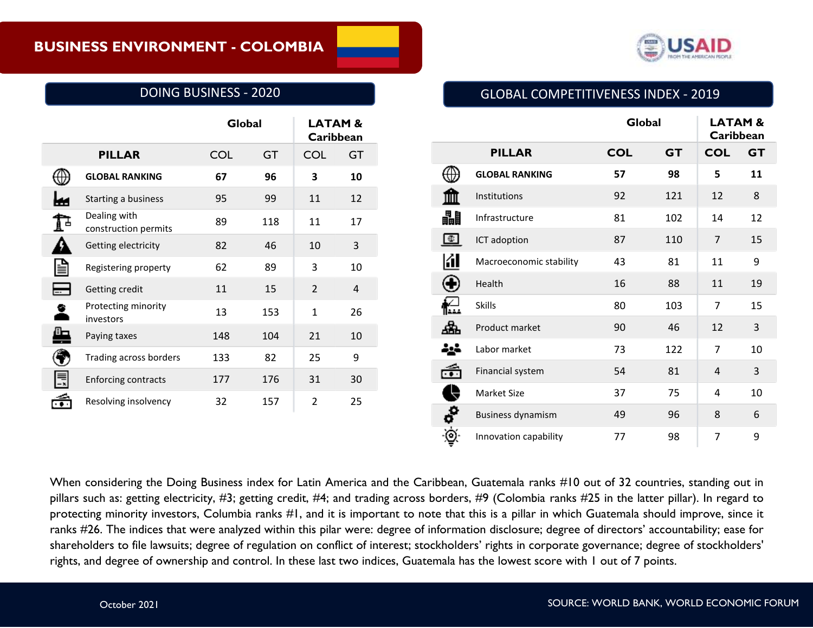

## DOING BUSINESS - 2020

|                                      | Global     |           | <b>LATAM &amp;</b><br>Caribbean |           |
|--------------------------------------|------------|-----------|---------------------------------|-----------|
| <b>PILLAR</b>                        | <b>COL</b> | <b>GT</b> | <b>COL</b>                      | <b>GT</b> |
| <b>GLOBAL RANKING</b>                | 67         | 96        | 3                               | 10        |
| Starting a business                  | 95         | 99        | 11                              | 12        |
| Dealing with<br>construction permits | 89         | 118       | 11                              | 17        |
| Getting electricity                  | 82         | 46        | 10                              | 3         |
| Registering property                 | 62         | 89        | 3                               | 10        |
| Getting credit                       | 11         | 15        | $\overline{2}$                  | 4         |
| Protecting minority<br>investors     | 13         | 153       | $\mathbf{1}$                    | 26        |
| Paying taxes                         | 148        | 104       | 21                              | 10        |
| Trading across borders               | 133        | 82        | 25                              | 9         |
| <b>Enforcing contracts</b>           | 177        | 176       | 31                              | 30        |
| Resolving insolvency                 | 32         | 157       | $\overline{2}$                  | 25        |

## GLOBAL COMPETITIVENESS INDEX - 2019

|                 |                          | Global     |           | <b>LATAM&amp;</b><br>Caribbean |           |
|-----------------|--------------------------|------------|-----------|--------------------------------|-----------|
|                 | <b>PILLAR</b>            | <b>COL</b> | <b>GT</b> | <b>COL</b>                     | <b>GT</b> |
|                 | <b>GLOBAL RANKING</b>    | 57         | 98        | 5                              | 11        |
|                 | Institutions             | 92         | 121       | 12                             | 8         |
| ₩               | Infrastructure           | 81         | 102       | 14                             | 12        |
| Œ               | ICT adoption             | 87         | 110       | $\overline{7}$                 | 15        |
| Ю               | Macroeconomic stability  | 43         | 81        | 11                             | 9         |
|                 | Health                   | 16         | 88        | 11                             | 19        |
|                 | <b>Skills</b>            | 80         | 103       | 7                              | 15        |
|                 | Product market           | 90         | 46        | 12                             | 3         |
|                 | Labor market             | 73         | 122       | 7                              | 10        |
|                 | Financial system         | 54         | 81        | $\overline{4}$                 | 3         |
|                 | Market Size              | 37         | 75        | 4                              | 10        |
| $\ddot{\bm{c}}$ | <b>Business dynamism</b> | 49         | 96        | 8                              | 6         |
| ⊚               | Innovation capability    | 77         | 98        | $\overline{7}$                 | 9         |

When considering the Doing Business index for Latin America and the Caribbean, Guatemala ranks #10 out of 32 countries, standing out in pillars such as: getting electricity, #3; getting credit, #4; and trading across borders, #9 (Colombia ranks #25 in the latter pillar). In regard to protecting minority investors, Columbia ranks #1, and it is important to note that this is a pillar in which Guatemala should improve, since it ranks #26. The indices that were analyzed within this pilar were: degree of information disclosure; degree of directors' accountability; ease for shareholders to file lawsuits; degree of regulation on conflict of interest; stockholders' rights in corporate governance; degree of stockholders' rights, and degree of ownership and control. In these last two indices, Guatemala has the lowest score with 1 out of 7 points.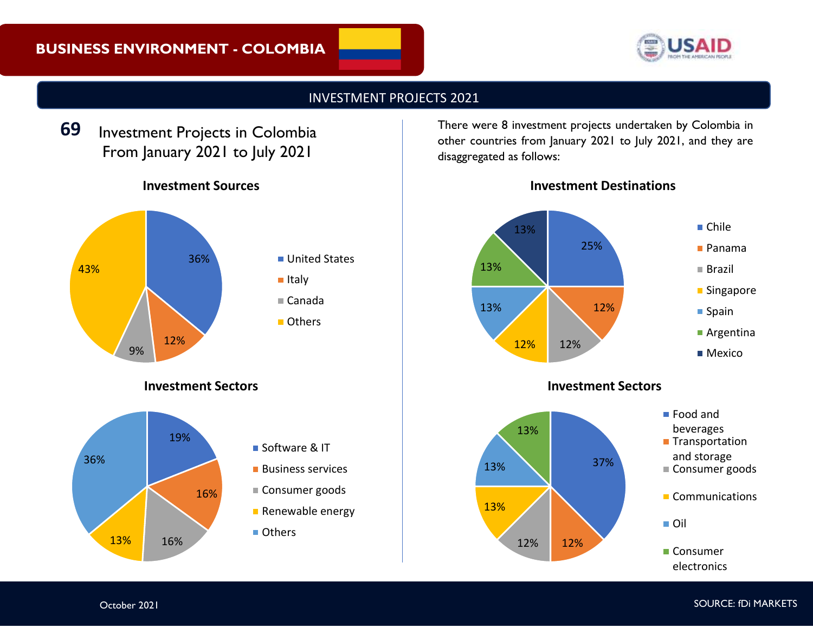# **BUSINESS ENVIRONMENT - COLOMBIA**



## INVESTMENT PROJECTS 2021

Investment Projects in Colombia From January 2021 to July 2021 **69**

## **Investment Sources**



#### **Investment Sectors**



There were 8 investment projects undertaken by Colombia in other countries from January 2021 to July 2021, and they are disaggregated as follows:

**Investment Destinations**



### **Investment Sectors**



■ Food and beverages **Transportation** and storage Consumer goods

■ Oil

■ Consumer electronics

Communications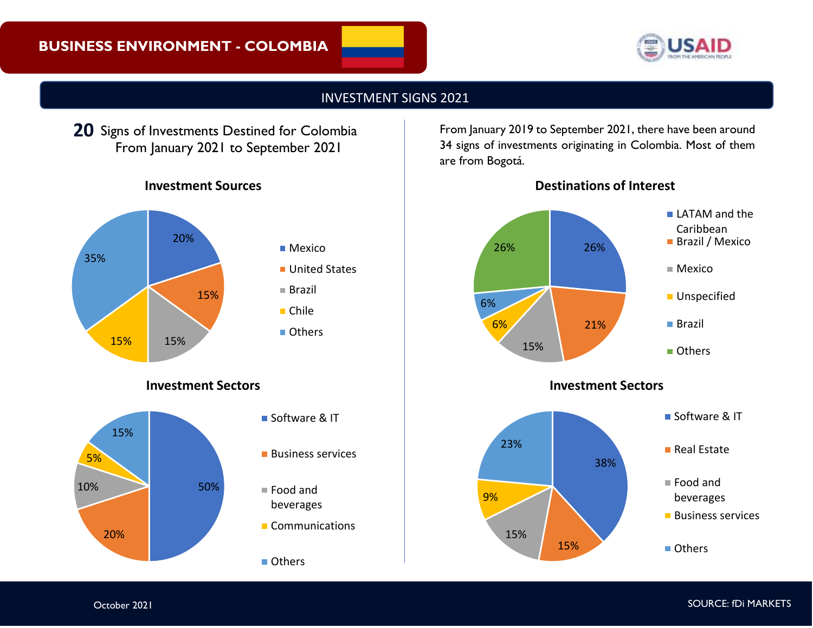

## INVESTMENT SIGNS 2021

20 Signs of Investments Destined for Colombia From January 2021 to September 2021

## **Investment Sources**



#### **Investment Sectors**



- Software & IT
- **Business services**

■ Food and beverages

Communications

Others

From January 2019 to September 2021, there have been around 34 signs of investments originating in Colombia. Most of them are from Bogotá.



**Investment Sectors**

## **Destinations of Interest**

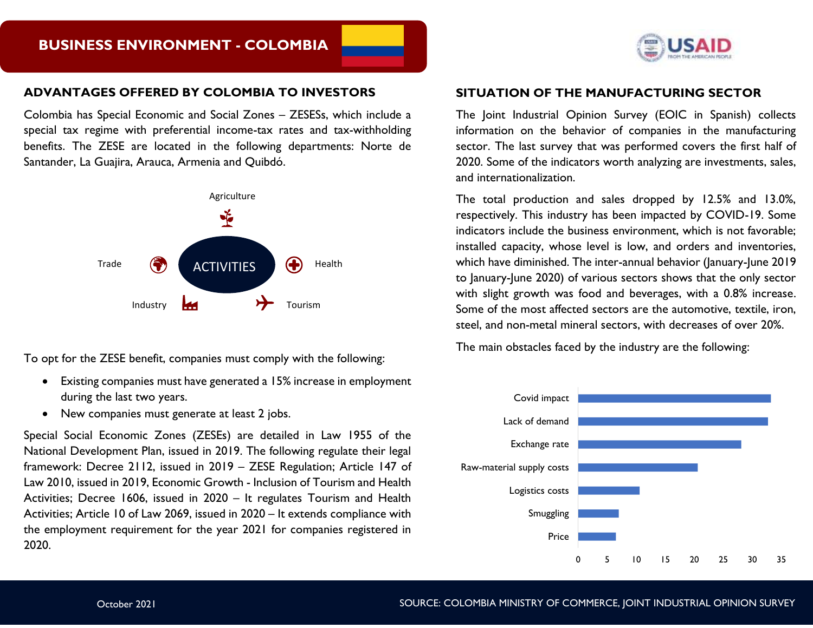#### **ADVANTAGES OFFERED BY COLOMBIA TO INVESTORS**

Colombia has Special Economic and Social Zones – ZESESs, which include a special tax regime with preferential income-tax rates and tax-withholding benefits. The ZESE are located in the following departments: Norte de Santander, La Guajira, Arauca, Armenia and Quibdó.



To opt for the ZESE benefit, companies must comply with the following:

- Existing companies must have generated a 15% increase in employment during the last two years.
- New companies must generate at least 2 jobs.

Special Social Economic Zones (ZESEs) are detailed in Law 1955 of the National Development Plan, issued in 2019. The following regulate their legal framework: Decree 2112, issued in 2019 – ZESE Regulation; Article 147 of Law 2010, issued in 2019, Economic Growth - Inclusion of Tourism and Health Activities; Decree 1606, issued in 2020 – It regulates Tourism and Health Activities; Article 10 of Law 2069, issued in 2020 – It extends compliance with the employment requirement for the year 2021 for companies registered in 2020.



#### **SITUATION OF THE MANUFACTURING SECTOR**

The Joint Industrial Opinion Survey (EOIC in Spanish) collects information on the behavior of companies in the manufacturing sector. The last survey that was performed covers the first half of 2020. Some of the indicators worth analyzing are investments, sales, and internationalization.

The total production and sales dropped by 12.5% and 13.0%, respectively. This industry has been impacted by COVID-19. Some indicators include the business environment, which is not favorable; installed capacity, whose level is low, and orders and inventories, which have diminished. The inter-annual behavior (January-June 2019 to January-June 2020) of various sectors shows that the only sector with slight growth was food and beverages, with a 0.8% increase. Some of the most affected sectors are the automotive, textile, iron, steel, and non-metal mineral sectors, with decreases of over 20%.

The main obstacles faced by the industry are the following: